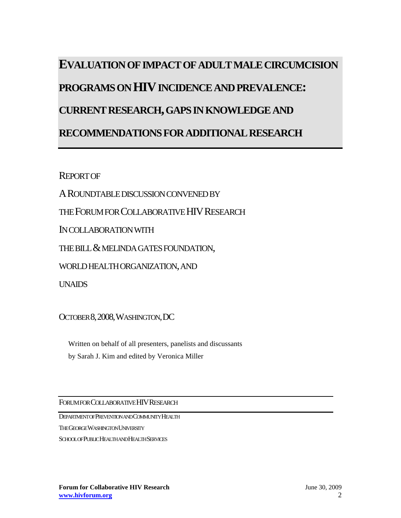# **EVALUATION OF IMPACT OF ADULT MALE CIRCUMCISION PROGRAMS ON HIV INCIDENCE AND PREVALENCE: CURRENT RESEARCH, GAPS IN KNOWLEDGE AND RECOMMENDATIONS FOR ADDITIONAL RESEARCH**

**REPORT OF** 

AROUNDTABLE DISCUSSION CONVENED BY

THE FORUM FOR COLLABORATIVE HIV RESEARCH

IN COLLABORATION WITH

THE BILL & MELINDA GATES FOUNDATION,

WORLD HEALTH ORGANIZATION, AND

UNAIDS

OCTOBER 8,2008,WASHINGTON,DC

Written on behalf of all presenters, panelists and discussants by Sarah J. Kim and edited by Veronica Miller

FORUM FOR COLLABORATIVE HIVRESEARCH

DEPARTMENT OF PREVENTION AND COMMUNITY HEALTH

THE GEORGE WASHINGTON UNIVERSITY

SCHOOL OF PUBLIC HEALTH AND HEALTH SERVICES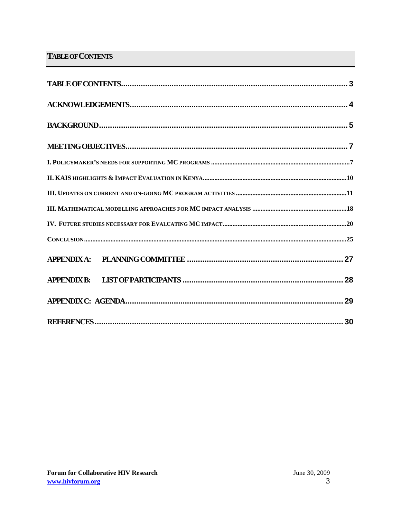# **TABLE OF CONTENTS**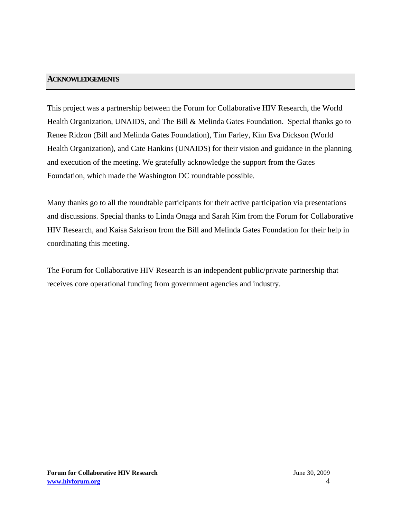# **ACKNOWLEDGEMENTS**

This project was a partnership between the Forum for Collaborative HIV Research, the World Health Organization, UNAIDS, and The Bill & Melinda Gates Foundation. Special thanks go to Renee Ridzon (Bill and Melinda Gates Foundation), Tim Farley, Kim Eva Dickson (World Health Organization), and Cate Hankins (UNAIDS) for their vision and guidance in the planning and execution of the meeting. We gratefully acknowledge the support from the Gates Foundation, which made the Washington DC roundtable possible.

Many thanks go to all the roundtable participants for their active participation via presentations and discussions. Special thanks to Linda Onaga and Sarah Kim from the Forum for Collaborative HIV Research, and Kaisa Sakrison from the Bill and Melinda Gates Foundation for their help in coordinating this meeting.

The Forum for Collaborative HIV Research is an independent public/private partnership that receives core operational funding from government agencies and industry.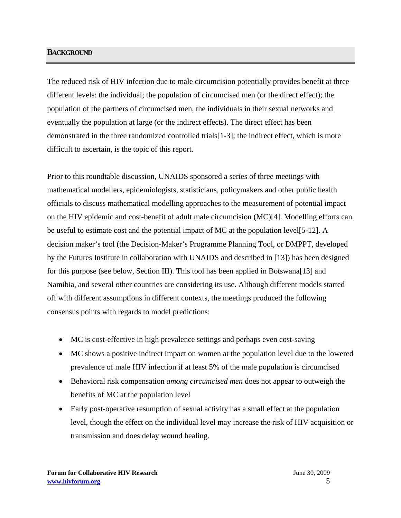# **BACKGROUND**

The reduced risk of HIV infection due to male circumcision potentially provides benefit at three different levels: the individual; the population of circumcised men (or the direct effect); the population of the partners of circumcised men, the individuals in their sexual networks and eventually the population at large (or the indirect effects). The direct effect has been demonstrated in the three randomized controlled trials[1-3]; the indirect effect, which is more difficult to ascertain, is the topic of this report.

Prior to this roundtable discussion, UNAIDS sponsored a series of three meetings with mathematical modellers, epidemiologists, statisticians, policymakers and other public health officials to discuss mathematical modelling approaches to the measurement of potential impact on the HIV epidemic and cost-benefit of adult male circumcision (MC)[4]. Modelling efforts can be useful to estimate cost and the potential impact of MC at the population level[5-12]. A decision maker's tool (the Decision-Maker's Programme Planning Tool, or DMPPT, developed by the Futures Institute in collaboration with UNAIDS and described in [13]) has been designed for this purpose (see below, Section III). This tool has been applied in Botswana[13] and Namibia, and several other countries are considering its use. Although different models started off with different assumptions in different contexts, the meetings produced the following consensus points with regards to model predictions:

- MC is cost-effective in high prevalence settings and perhaps even cost-saving
- MC shows a positive indirect impact on women at the population level due to the lowered prevalence of male HIV infection if at least 5% of the male population is circumcised
- Behavioral risk compensation *among circumcised men* does not appear to outweigh the benefits of MC at the population level
- Early post-operative resumption of sexual activity has a small effect at the population level, though the effect on the individual level may increase the risk of HIV acquisition or transmission and does delay wound healing.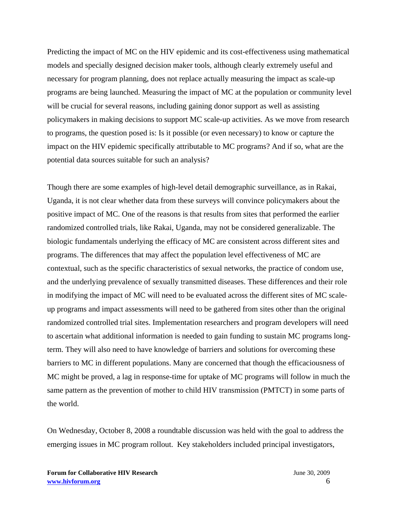Predicting the impact of MC on the HIV epidemic and its cost-effectiveness using mathematical models and specially designed decision maker tools, although clearly extremely useful and necessary for program planning, does not replace actually measuring the impact as scale-up programs are being launched. Measuring the impact of MC at the population or community level will be crucial for several reasons, including gaining donor support as well as assisting policymakers in making decisions to support MC scale-up activities. As we move from research to programs, the question posed is: Is it possible (or even necessary) to know or capture the impact on the HIV epidemic specifically attributable to MC programs? And if so, what are the potential data sources suitable for such an analysis?

Though there are some examples of high-level detail demographic surveillance, as in Rakai, Uganda, it is not clear whether data from these surveys will convince policymakers about the positive impact of MC. One of the reasons is that results from sites that performed the earlier randomized controlled trials, like Rakai, Uganda, may not be considered generalizable. The biologic fundamentals underlying the efficacy of MC are consistent across different sites and programs. The differences that may affect the population level effectiveness of MC are contextual, such as the specific characteristics of sexual networks, the practice of condom use, and the underlying prevalence of sexually transmitted diseases. These differences and their role in modifying the impact of MC will need to be evaluated across the different sites of MC scaleup programs and impact assessments will need to be gathered from sites other than the original randomized controlled trial sites. Implementation researchers and program developers will need to ascertain what additional information is needed to gain funding to sustain MC programs longterm. They will also need to have knowledge of barriers and solutions for overcoming these barriers to MC in different populations. Many are concerned that though the efficaciousness of MC might be proved, a lag in response-time for uptake of MC programs will follow in much the same pattern as the prevention of mother to child HIV transmission (PMTCT) in some parts of the world.

On Wednesday, October 8, 2008 a roundtable discussion was held with the goal to address the emerging issues in MC program rollout. Key stakeholders included principal investigators,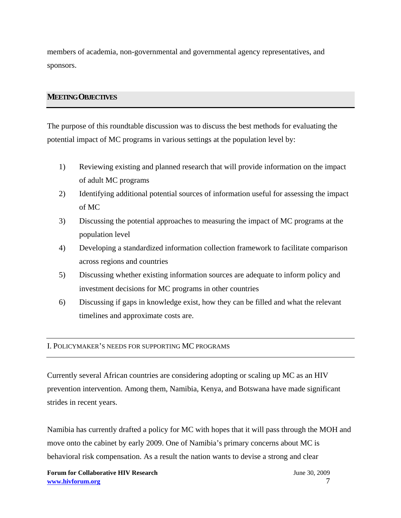members of academia, non-governmental and governmental agency representatives, and sponsors.

# **MEETING OBJECTIVES**

The purpose of this roundtable discussion was to discuss the best methods for evaluating the potential impact of MC programs in various settings at the population level by:

- 1) Reviewing existing and planned research that will provide information on the impact of adult MC programs
- 2) Identifying additional potential sources of information useful for assessing the impact of MC
- 3) Discussing the potential approaches to measuring the impact of MC programs at the population level
- 4) Developing a standardized information collection framework to facilitate comparison across regions and countries
- 5) Discussing whether existing information sources are adequate to inform policy and investment decisions for MC programs in other countries
- 6) Discussing if gaps in knowledge exist, how they can be filled and what the relevant timelines and approximate costs are.

# I. POLICYMAKER'S NEEDS FOR SUPPORTING MC PROGRAMS

Currently several African countries are considering adopting or scaling up MC as an HIV prevention intervention. Among them, Namibia, Kenya, and Botswana have made significant strides in recent years.

Namibia has currently drafted a policy for MC with hopes that it will pass through the MOH and move onto the cabinet by early 2009. One of Namibia's primary concerns about MC is behavioral risk compensation. As a result the nation wants to devise a strong and clear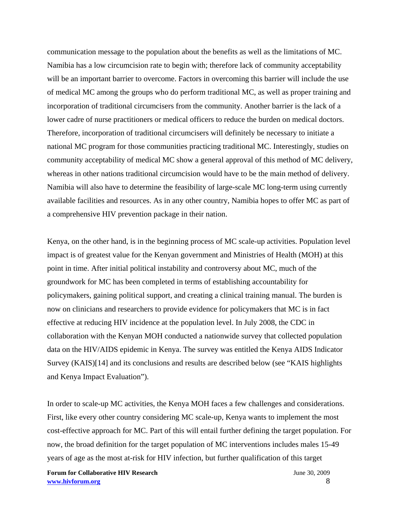communication message to the population about the benefits as well as the limitations of MC. Namibia has a low circumcision rate to begin with; therefore lack of community acceptability will be an important barrier to overcome. Factors in overcoming this barrier will include the use of medical MC among the groups who do perform traditional MC, as well as proper training and incorporation of traditional circumcisers from the community. Another barrier is the lack of a lower cadre of nurse practitioners or medical officers to reduce the burden on medical doctors. Therefore, incorporation of traditional circumcisers will definitely be necessary to initiate a national MC program for those communities practicing traditional MC. Interestingly, studies on community acceptability of medical MC show a general approval of this method of MC delivery, whereas in other nations traditional circumcision would have to be the main method of delivery. Namibia will also have to determine the feasibility of large-scale MC long-term using currently available facilities and resources. As in any other country, Namibia hopes to offer MC as part of a comprehensive HIV prevention package in their nation.

Kenya, on the other hand, is in the beginning process of MC scale-up activities. Population level impact is of greatest value for the Kenyan government and Ministries of Health (MOH) at this point in time. After initial political instability and controversy about MC, much of the groundwork for MC has been completed in terms of establishing accountability for policymakers, gaining political support, and creating a clinical training manual. The burden is now on clinicians and researchers to provide evidence for policymakers that MC is in fact effective at reducing HIV incidence at the population level. In July 2008, the CDC in collaboration with the Kenyan MOH conducted a nationwide survey that collected population data on the HIV/AIDS epidemic in Kenya. The survey was entitled the Kenya AIDS Indicator Survey (KAIS)[14] and its conclusions and results are described below (see "KAIS highlights and Kenya Impact Evaluation").

In order to scale-up MC activities, the Kenya MOH faces a few challenges and considerations. First, like every other country considering MC scale-up, Kenya wants to implement the most cost-effective approach for MC. Part of this will entail further defining the target population. For now, the broad definition for the target population of MC interventions includes males 15-49 years of age as the most at-risk for HIV infection, but further qualification of this target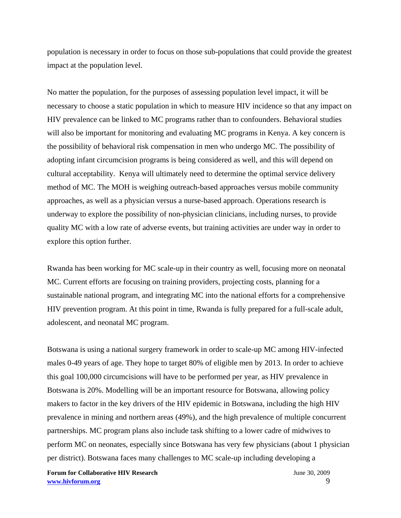population is necessary in order to focus on those sub-populations that could provide the greatest impact at the population level.

No matter the population, for the purposes of assessing population level impact, it will be necessary to choose a static population in which to measure HIV incidence so that any impact on HIV prevalence can be linked to MC programs rather than to confounders. Behavioral studies will also be important for monitoring and evaluating MC programs in Kenya. A key concern is the possibility of behavioral risk compensation in men who undergo MC. The possibility of adopting infant circumcision programs is being considered as well, and this will depend on cultural acceptability. Kenya will ultimately need to determine the optimal service delivery method of MC. The MOH is weighing outreach-based approaches versus mobile community approaches, as well as a physician versus a nurse-based approach. Operations research is underway to explore the possibility of non-physician clinicians, including nurses, to provide quality MC with a low rate of adverse events, but training activities are under way in order to explore this option further.

Rwanda has been working for MC scale-up in their country as well, focusing more on neonatal MC. Current efforts are focusing on training providers, projecting costs, planning for a sustainable national program, and integrating MC into the national efforts for a comprehensive HIV prevention program. At this point in time, Rwanda is fully prepared for a full-scale adult, adolescent, and neonatal MC program.

Botswana is using a national surgery framework in order to scale-up MC among HIV-infected males 0-49 years of age. They hope to target 80% of eligible men by 2013. In order to achieve this goal 100,000 circumcisions will have to be performed per year, as HIV prevalence in Botswana is 20%. Modelling will be an important resource for Botswana, allowing policy makers to factor in the key drivers of the HIV epidemic in Botswana, including the high HIV prevalence in mining and northern areas (49%), and the high prevalence of multiple concurrent partnerships. MC program plans also include task shifting to a lower cadre of midwives to perform MC on neonates, especially since Botswana has very few physicians (about 1 physician per district). Botswana faces many challenges to MC scale-up including developing a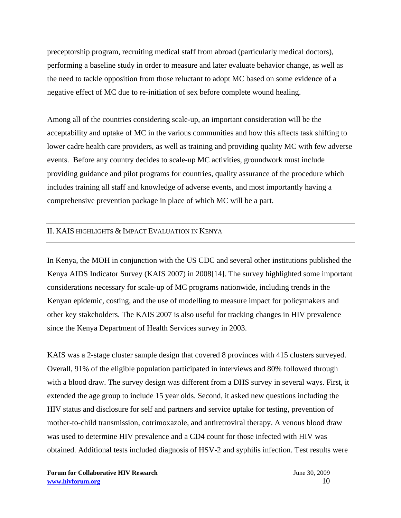preceptorship program, recruiting medical staff from abroad (particularly medical doctors), performing a baseline study in order to measure and later evaluate behavior change, as well as the need to tackle opposition from those reluctant to adopt MC based on some evidence of a negative effect of MC due to re-initiation of sex before complete wound healing.

Among all of the countries considering scale-up, an important consideration will be the acceptability and uptake of MC in the various communities and how this affects task shifting to lower cadre health care providers, as well as training and providing quality MC with few adverse events. Before any country decides to scale-up MC activities, groundwork must include providing guidance and pilot programs for countries, quality assurance of the procedure which includes training all staff and knowledge of adverse events, and most importantly having a comprehensive prevention package in place of which MC will be a part.

## II. KAIS HIGHLIGHTS & IMPACT EVALUATION IN KENYA

In Kenya, the MOH in conjunction with the US CDC and several other institutions published the Kenya AIDS Indicator Survey (KAIS 2007) in 2008[14]. The survey highlighted some important considerations necessary for scale-up of MC programs nationwide, including trends in the Kenyan epidemic, costing, and the use of modelling to measure impact for policymakers and other key stakeholders. The KAIS 2007 is also useful for tracking changes in HIV prevalence since the Kenya Department of Health Services survey in 2003.

KAIS was a 2-stage cluster sample design that covered 8 provinces with 415 clusters surveyed. Overall, 91% of the eligible population participated in interviews and 80% followed through with a blood draw. The survey design was different from a DHS survey in several ways. First, it extended the age group to include 15 year olds. Second, it asked new questions including the HIV status and disclosure for self and partners and service uptake for testing, prevention of mother-to-child transmission, cotrimoxazole, and antiretroviral therapy. A venous blood draw was used to determine HIV prevalence and a CD4 count for those infected with HIV was obtained. Additional tests included diagnosis of HSV-2 and syphilis infection. Test results were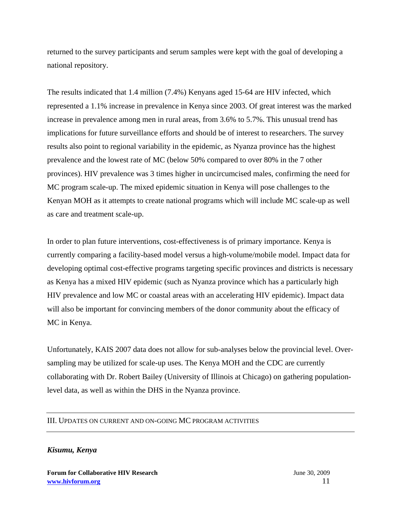returned to the survey participants and serum samples were kept with the goal of developing a national repository.

The results indicated that 1.4 million (7.4%) Kenyans aged 15-64 are HIV infected, which represented a 1.1% increase in prevalence in Kenya since 2003. Of great interest was the marked increase in prevalence among men in rural areas, from 3.6% to 5.7%. This unusual trend has implications for future surveillance efforts and should be of interest to researchers. The survey results also point to regional variability in the epidemic, as Nyanza province has the highest prevalence and the lowest rate of MC (below 50% compared to over 80% in the 7 other provinces). HIV prevalence was 3 times higher in uncircumcised males, confirming the need for MC program scale-up. The mixed epidemic situation in Kenya will pose challenges to the Kenyan MOH as it attempts to create national programs which will include MC scale-up as well as care and treatment scale-up.

In order to plan future interventions, cost-effectiveness is of primary importance. Kenya is currently comparing a facility-based model versus a high-volume/mobile model. Impact data for developing optimal cost-effective programs targeting specific provinces and districts is necessary as Kenya has a mixed HIV epidemic (such as Nyanza province which has a particularly high HIV prevalence and low MC or coastal areas with an accelerating HIV epidemic). Impact data will also be important for convincing members of the donor community about the efficacy of MC in Kenya.

Unfortunately, KAIS 2007 data does not allow for sub-analyses below the provincial level. Oversampling may be utilized for scale-up uses. The Kenya MOH and the CDC are currently collaborating with Dr. Robert Bailey (University of Illinois at Chicago) on gathering populationlevel data, as well as within the DHS in the Nyanza province.

# III. UPDATES ON CURRENT AND ON-GOING MC PROGRAM ACTIVITIES

# *Kisumu, Kenya*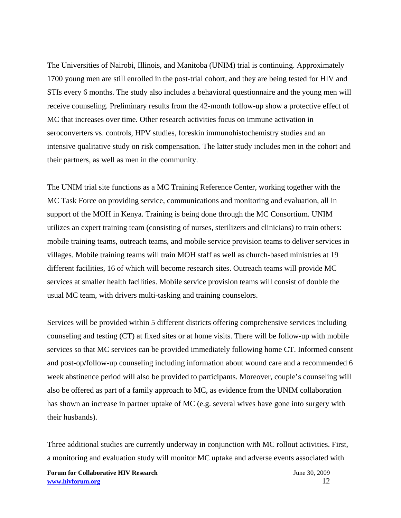The Universities of Nairobi, Illinois, and Manitoba (UNIM) trial is continuing. Approximately 1700 young men are still enrolled in the post-trial cohort, and they are being tested for HIV and STIs every 6 months. The study also includes a behavioral questionnaire and the young men will receive counseling. Preliminary results from the 42-month follow-up show a protective effect of MC that increases over time. Other research activities focus on immune activation in seroconverters vs. controls, HPV studies, foreskin immunohistochemistry studies and an intensive qualitative study on risk compensation. The latter study includes men in the cohort and their partners, as well as men in the community.

The UNIM trial site functions as a MC Training Reference Center, working together with the MC Task Force on providing service, communications and monitoring and evaluation, all in support of the MOH in Kenya. Training is being done through the MC Consortium. UNIM utilizes an expert training team (consisting of nurses, sterilizers and clinicians) to train others: mobile training teams, outreach teams, and mobile service provision teams to deliver services in villages. Mobile training teams will train MOH staff as well as church-based ministries at 19 different facilities, 16 of which will become research sites. Outreach teams will provide MC services at smaller health facilities. Mobile service provision teams will consist of double the usual MC team, with drivers multi-tasking and training counselors.

Services will be provided within 5 different districts offering comprehensive services including counseling and testing (CT) at fixed sites or at home visits. There will be follow-up with mobile services so that MC services can be provided immediately following home CT. Informed consent and post-op/follow-up counseling including information about wound care and a recommended 6 week abstinence period will also be provided to participants. Moreover, couple's counseling will also be offered as part of a family approach to MC, as evidence from the UNIM collaboration has shown an increase in partner uptake of MC (e.g. several wives have gone into surgery with their husbands).

Three additional studies are currently underway in conjunction with MC rollout activities. First, a monitoring and evaluation study will monitor MC uptake and adverse events associated with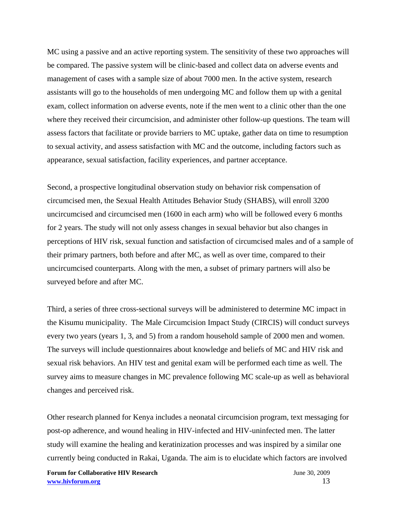MC using a passive and an active reporting system. The sensitivity of these two approaches will be compared. The passive system will be clinic-based and collect data on adverse events and management of cases with a sample size of about 7000 men. In the active system, research assistants will go to the households of men undergoing MC and follow them up with a genital exam, collect information on adverse events, note if the men went to a clinic other than the one where they received their circumcision, and administer other follow-up questions. The team will assess factors that facilitate or provide barriers to MC uptake, gather data on time to resumption to sexual activity, and assess satisfaction with MC and the outcome, including factors such as appearance, sexual satisfaction, facility experiences, and partner acceptance.

Second, a prospective longitudinal observation study on behavior risk compensation of circumcised men, the Sexual Health Attitudes Behavior Study (SHABS), will enroll 3200 uncircumcised and circumcised men (1600 in each arm) who will be followed every 6 months for 2 years. The study will not only assess changes in sexual behavior but also changes in perceptions of HIV risk, sexual function and satisfaction of circumcised males and of a sample of their primary partners, both before and after MC, as well as over time, compared to their uncircumcised counterparts. Along with the men, a subset of primary partners will also be surveyed before and after MC.

Third, a series of three cross-sectional surveys will be administered to determine MC impact in the Kisumu municipality. The Male Circumcision Impact Study (CIRCIS) will conduct surveys every two years (years 1, 3, and 5) from a random household sample of 2000 men and women. The surveys will include questionnaires about knowledge and beliefs of MC and HIV risk and sexual risk behaviors. An HIV test and genital exam will be performed each time as well. The survey aims to measure changes in MC prevalence following MC scale-up as well as behavioral changes and perceived risk.

Other research planned for Kenya includes a neonatal circumcision program, text messaging for post-op adherence, and wound healing in HIV-infected and HIV-uninfected men. The latter study will examine the healing and keratinization processes and was inspired by a similar one currently being conducted in Rakai, Uganda. The aim is to elucidate which factors are involved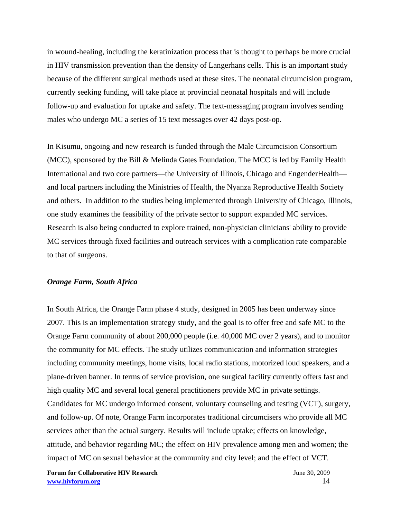in wound-healing, including the keratinization process that is thought to perhaps be more crucial in HIV transmission prevention than the density of Langerhans cells. This is an important study because of the different surgical methods used at these sites. The neonatal circumcision program, currently seeking funding, will take place at provincial neonatal hospitals and will include follow-up and evaluation for uptake and safety. The text-messaging program involves sending males who undergo MC a series of 15 text messages over 42 days post-op.

In Kisumu, ongoing and new research is funded through the Male Circumcision Consortium (MCC), sponsored by the Bill & Melinda Gates Foundation. The MCC is led by Family Health International and two core partners—the University of Illinois, Chicago and EngenderHealth and local partners including the Ministries of Health, the Nyanza Reproductive Health Society and others. In addition to the studies being implemented through University of Chicago, Illinois, one study examines the feasibility of the private sector to support expanded MC services. Research is also being conducted to explore trained, non-physician clinicians' ability to provide MC services through fixed facilities and outreach services with a complication rate comparable to that of surgeons.

## *Orange Farm, South Africa*

In South Africa, the Orange Farm phase 4 study, designed in 2005 has been underway since 2007. This is an implementation strategy study, and the goal is to offer free and safe MC to the Orange Farm community of about 200,000 people (i.e. 40,000 MC over 2 years), and to monitor the community for MC effects. The study utilizes communication and information strategies including community meetings, home visits, local radio stations, motorized loud speakers, and a plane-driven banner. In terms of service provision, one surgical facility currently offers fast and high quality MC and several local general practitioners provide MC in private settings. Candidates for MC undergo informed consent, voluntary counseling and testing (VCT), surgery, and follow-up. Of note, Orange Farm incorporates traditional circumcisers who provide all MC services other than the actual surgery. Results will include uptake; effects on knowledge, attitude, and behavior regarding MC; the effect on HIV prevalence among men and women; the impact of MC on sexual behavior at the community and city level; and the effect of VCT.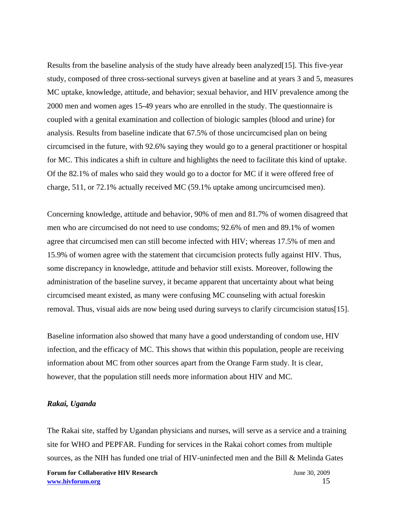Results from the baseline analysis of the study have already been analyzed[15]. This five-year study, composed of three cross-sectional surveys given at baseline and at years 3 and 5, measures MC uptake, knowledge, attitude, and behavior; sexual behavior, and HIV prevalence among the 2000 men and women ages 15-49 years who are enrolled in the study. The questionnaire is coupled with a genital examination and collection of biologic samples (blood and urine) for analysis. Results from baseline indicate that 67.5% of those uncircumcised plan on being circumcised in the future, with 92.6% saying they would go to a general practitioner or hospital for MC. This indicates a shift in culture and highlights the need to facilitate this kind of uptake. Of the 82.1% of males who said they would go to a doctor for MC if it were offered free of charge, 511, or 72.1% actually received MC (59.1% uptake among uncircumcised men).

Concerning knowledge, attitude and behavior, 90% of men and 81.7% of women disagreed that men who are circumcised do not need to use condoms; 92.6% of men and 89.1% of women agree that circumcised men can still become infected with HIV; whereas 17.5% of men and 15.9% of women agree with the statement that circumcision protects fully against HIV. Thus, some discrepancy in knowledge, attitude and behavior still exists. Moreover, following the administration of the baseline survey, it became apparent that uncertainty about what being circumcised meant existed, as many were confusing MC counseling with actual foreskin removal. Thus, visual aids are now being used during surveys to clarify circumcision status[15].

Baseline information also showed that many have a good understanding of condom use, HIV infection, and the efficacy of MC. This shows that within this population, people are receiving information about MC from other sources apart from the Orange Farm study. It is clear, however, that the population still needs more information about HIV and MC.

#### *Rakai, Uganda*

The Rakai site, staffed by Ugandan physicians and nurses, will serve as a service and a training site for WHO and PEPFAR. Funding for services in the Rakai cohort comes from multiple sources, as the NIH has funded one trial of HIV-uninfected men and the Bill & Melinda Gates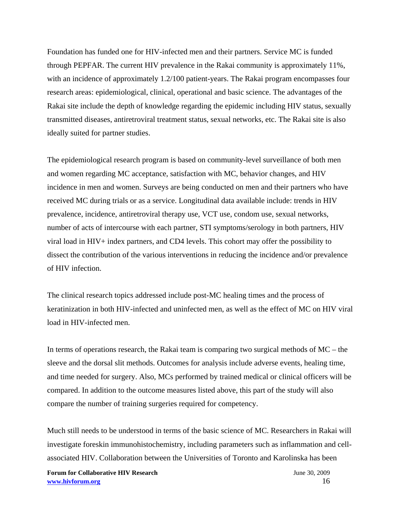Foundation has funded one for HIV-infected men and their partners. Service MC is funded through PEPFAR. The current HIV prevalence in the Rakai community is approximately 11%, with an incidence of approximately 1.2/100 patient-years. The Rakai program encompasses four research areas: epidemiological, clinical, operational and basic science. The advantages of the Rakai site include the depth of knowledge regarding the epidemic including HIV status, sexually transmitted diseases, antiretroviral treatment status, sexual networks, etc. The Rakai site is also ideally suited for partner studies.

The epidemiological research program is based on community-level surveillance of both men and women regarding MC acceptance, satisfaction with MC, behavior changes, and HIV incidence in men and women. Surveys are being conducted on men and their partners who have received MC during trials or as a service. Longitudinal data available include: trends in HIV prevalence, incidence, antiretroviral therapy use, VCT use, condom use, sexual networks, number of acts of intercourse with each partner, STI symptoms/serology in both partners, HIV viral load in HIV+ index partners, and CD4 levels. This cohort may offer the possibility to dissect the contribution of the various interventions in reducing the incidence and/or prevalence of HIV infection.

The clinical research topics addressed include post-MC healing times and the process of keratinization in both HIV-infected and uninfected men, as well as the effect of MC on HIV viral load in HIV-infected men.

In terms of operations research, the Rakai team is comparing two surgical methods of MC – the sleeve and the dorsal slit methods. Outcomes for analysis include adverse events, healing time, and time needed for surgery. Also, MCs performed by trained medical or clinical officers will be compared. In addition to the outcome measures listed above, this part of the study will also compare the number of training surgeries required for competency.

Much still needs to be understood in terms of the basic science of MC. Researchers in Rakai will investigate foreskin immunohistochemistry, including parameters such as inflammation and cellassociated HIV. Collaboration between the Universities of Toronto and Karolinska has been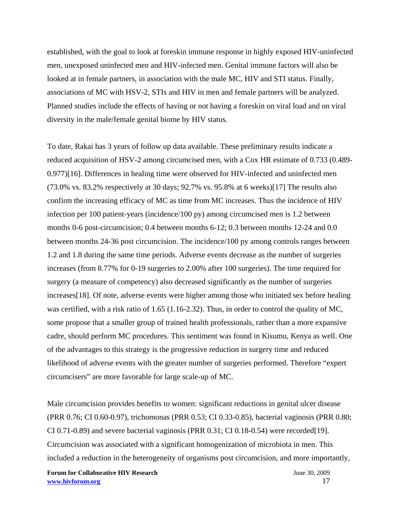established, with the goal to look at foreskin immune response in highly exposed HIV-uninfected men, unexposed uninfected men and HIV-infected men. Genital immune factors will also be looked at in female partners, in association with the male MC, HIV and STI status. Finally, associations of MC with HSV-2, STIs and HIV in men and female partners will be analyzed. Planned studies include the effects of having or not having a foreskin on viral load and on viral diversity in the male/female genital biome by HIV status.

To date, Rakai has 3 years of follow up data available. These preliminary results indicate a reduced acquisition of HSV-2 among circumcised men, with a Cox HR estimate of 0.733 (0.489- 0.977)[16]. Differences in healing time were observed for HIV-infected and uninfected men (73.0% vs. 83.2% respectively at 30 days; 92.7% vs. 95.8% at 6 weeks)[17] The results also confirm the increasing efficacy of MC as time from MC increases. Thus the incidence of HIV infection per 100 patient-years (incidence/100 py) among circumcised men is 1.2 between months 0-6 post-circumcision; 0.4 between months 6-12; 0.3 between months 12-24 and 0.0 between months 24-36 post circumcision. The incidence/100 py among controls ranges between 1.2 and 1.8 during the same time periods. Adverse events decrease as the number of surgeries increases (from 8.77% for 0-19 surgeries to 2.00% after 100 surgeries). The time required for surgery (a measure of competency) also decreased significantly as the number of surgeries increases[18]. Of note, adverse events were higher among those who initiated sex before healing was certified, with a risk ratio of 1.65 (1.16-2.32). Thus, in order to control the quality of MC, some propose that a smaller group of trained health professionals, rather than a more expansive cadre, should perform MC procedures. This sentiment was found in Kisumu, Kenya as well. One of the advantages to this strategy is the progressive reduction in surgery time and reduced likelihood of adverse events with the greater number of surgeries performed. Therefore "expert circumcisers" are more favorable for large scale-up of MC.

Male circumcision provides benefits to women: significant reductions in genital ulcer disease (PRR 0.76; CI 0.60-0.97), trichomonas (PRR 0.53; CI 0.33-0.85), bacterial vaginosis (PRR 0.80; CI 0.71-0.89) and severe bacterial vaginosis (PRR  $0.31$ ; CI 0.18-0.54) were recorded [19]. Circumcision was associated with a significant homogenization of microbiota in men. This included a reduction in the heterogeneity of organisms post circumcision, and more importantly,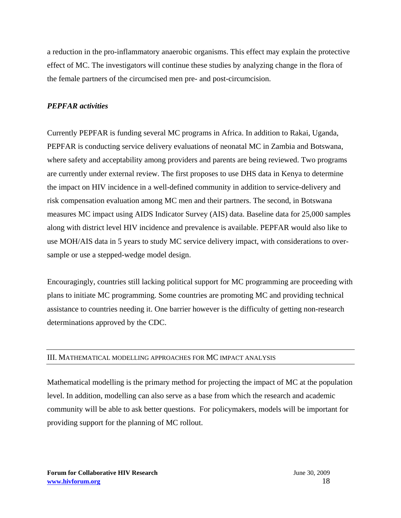a reduction in the pro-inflammatory anaerobic organisms. This effect may explain the protective effect of MC. The investigators will continue these studies by analyzing change in the flora of the female partners of the circumcised men pre- and post-circumcision.

# *PEPFAR activities*

Currently PEPFAR is funding several MC programs in Africa. In addition to Rakai, Uganda, PEPFAR is conducting service delivery evaluations of neonatal MC in Zambia and Botswana, where safety and acceptability among providers and parents are being reviewed. Two programs are currently under external review. The first proposes to use DHS data in Kenya to determine the impact on HIV incidence in a well-defined community in addition to service-delivery and risk compensation evaluation among MC men and their partners. The second, in Botswana measures MC impact using AIDS Indicator Survey (AIS) data. Baseline data for 25,000 samples along with district level HIV incidence and prevalence is available. PEPFAR would also like to use MOH/AIS data in 5 years to study MC service delivery impact, with considerations to oversample or use a stepped-wedge model design.

Encouragingly, countries still lacking political support for MC programming are proceeding with plans to initiate MC programming. Some countries are promoting MC and providing technical assistance to countries needing it. One barrier however is the difficulty of getting non-research determinations approved by the CDC.

# III. MATHEMATICAL MODELLING APPROACHES FOR MC IMPACT ANALYSIS

Mathematical modelling is the primary method for projecting the impact of MC at the population level. In addition, modelling can also serve as a base from which the research and academic community will be able to ask better questions. For policymakers, models will be important for providing support for the planning of MC rollout.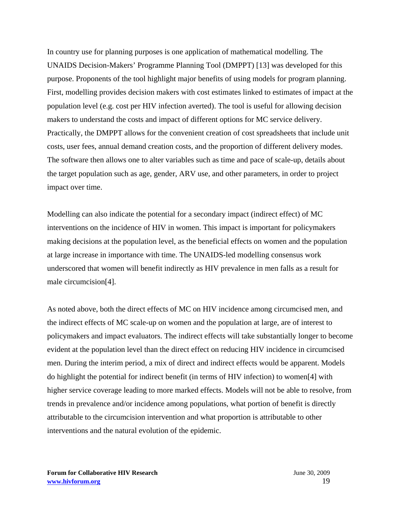In country use for planning purposes is one application of mathematical modelling. The UNAIDS Decision-Makers' Programme Planning Tool (DMPPT) [13] was developed for this purpose. Proponents of the tool highlight major benefits of using models for program planning. First, modelling provides decision makers with cost estimates linked to estimates of impact at the population level (e.g. cost per HIV infection averted). The tool is useful for allowing decision makers to understand the costs and impact of different options for MC service delivery. Practically, the DMPPT allows for the convenient creation of cost spreadsheets that include unit costs, user fees, annual demand creation costs, and the proportion of different delivery modes. The software then allows one to alter variables such as time and pace of scale-up, details about the target population such as age, gender, ARV use, and other parameters, in order to project impact over time.

Modelling can also indicate the potential for a secondary impact (indirect effect) of MC interventions on the incidence of HIV in women. This impact is important for policymakers making decisions at the population level, as the beneficial effects on women and the population at large increase in importance with time. The UNAIDS-led modelling consensus work underscored that women will benefit indirectly as HIV prevalence in men falls as a result for male circumcision[4].

As noted above, both the direct effects of MC on HIV incidence among circumcised men, and the indirect effects of MC scale-up on women and the population at large, are of interest to policymakers and impact evaluators. The indirect effects will take substantially longer to become evident at the population level than the direct effect on reducing HIV incidence in circumcised men. During the interim period, a mix of direct and indirect effects would be apparent. Models do highlight the potential for indirect benefit (in terms of HIV infection) to women[4] with higher service coverage leading to more marked effects. Models will not be able to resolve, from trends in prevalence and/or incidence among populations, what portion of benefit is directly attributable to the circumcision intervention and what proportion is attributable to other interventions and the natural evolution of the epidemic.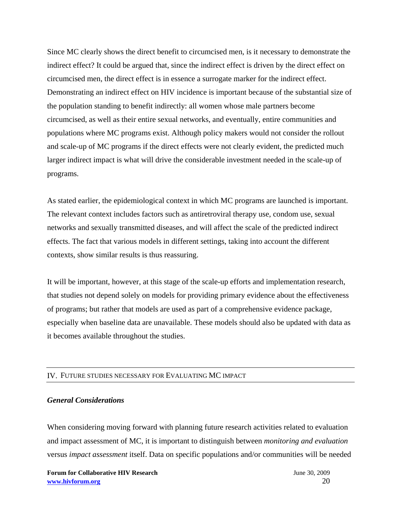Since MC clearly shows the direct benefit to circumcised men, is it necessary to demonstrate the indirect effect? It could be argued that, since the indirect effect is driven by the direct effect on circumcised men, the direct effect is in essence a surrogate marker for the indirect effect. Demonstrating an indirect effect on HIV incidence is important because of the substantial size of the population standing to benefit indirectly: all women whose male partners become circumcised, as well as their entire sexual networks, and eventually, entire communities and populations where MC programs exist. Although policy makers would not consider the rollout and scale-up of MC programs if the direct effects were not clearly evident, the predicted much larger indirect impact is what will drive the considerable investment needed in the scale-up of programs.

As stated earlier, the epidemiological context in which MC programs are launched is important. The relevant context includes factors such as antiretroviral therapy use, condom use, sexual networks and sexually transmitted diseases, and will affect the scale of the predicted indirect effects. The fact that various models in different settings, taking into account the different contexts, show similar results is thus reassuring.

It will be important, however, at this stage of the scale-up efforts and implementation research, that studies not depend solely on models for providing primary evidence about the effectiveness of programs; but rather that models are used as part of a comprehensive evidence package, especially when baseline data are unavailable. These models should also be updated with data as it becomes available throughout the studies.

#### IV. FUTURE STUDIES NECESSARY FOR EVALUATING MC IMPACT

# *General Considerations*

When considering moving forward with planning future research activities related to evaluation and impact assessment of MC, it is important to distinguish between *monitoring and evaluation* versus *impact assessment* itself. Data on specific populations and/or communities will be needed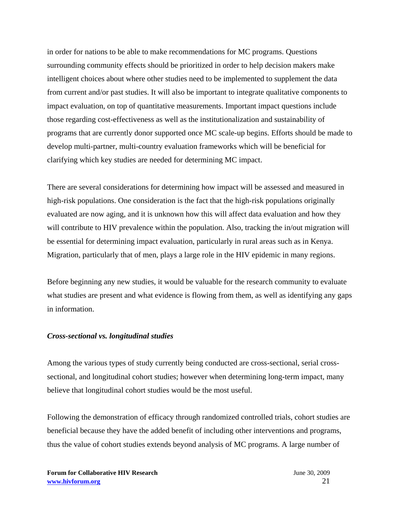in order for nations to be able to make recommendations for MC programs. Questions surrounding community effects should be prioritized in order to help decision makers make intelligent choices about where other studies need to be implemented to supplement the data from current and/or past studies. It will also be important to integrate qualitative components to impact evaluation, on top of quantitative measurements. Important impact questions include those regarding cost-effectiveness as well as the institutionalization and sustainability of programs that are currently donor supported once MC scale-up begins. Efforts should be made to develop multi-partner, multi-country evaluation frameworks which will be beneficial for clarifying which key studies are needed for determining MC impact.

There are several considerations for determining how impact will be assessed and measured in high-risk populations. One consideration is the fact that the high-risk populations originally evaluated are now aging, and it is unknown how this will affect data evaluation and how they will contribute to HIV prevalence within the population. Also, tracking the in/out migration will be essential for determining impact evaluation, particularly in rural areas such as in Kenya. Migration, particularly that of men, plays a large role in the HIV epidemic in many regions.

Before beginning any new studies, it would be valuable for the research community to evaluate what studies are present and what evidence is flowing from them, as well as identifying any gaps in information.

#### *Cross-sectional vs. longitudinal studies*

Among the various types of study currently being conducted are cross-sectional, serial crosssectional, and longitudinal cohort studies; however when determining long-term impact, many believe that longitudinal cohort studies would be the most useful.

Following the demonstration of efficacy through randomized controlled trials, cohort studies are beneficial because they have the added benefit of including other interventions and programs, thus the value of cohort studies extends beyond analysis of MC programs. A large number of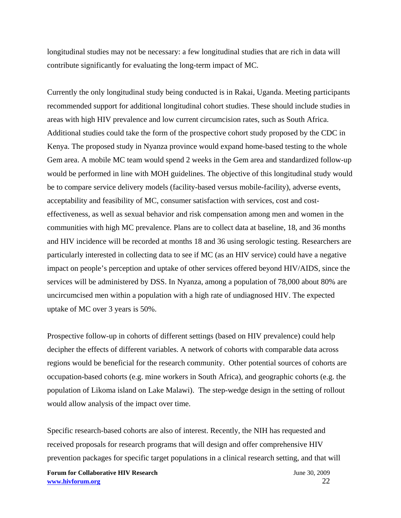longitudinal studies may not be necessary: a few longitudinal studies that are rich in data will contribute significantly for evaluating the long-term impact of MC.

Currently the only longitudinal study being conducted is in Rakai, Uganda. Meeting participants recommended support for additional longitudinal cohort studies. These should include studies in areas with high HIV prevalence and low current circumcision rates, such as South Africa. Additional studies could take the form of the prospective cohort study proposed by the CDC in Kenya. The proposed study in Nyanza province would expand home-based testing to the whole Gem area. A mobile MC team would spend 2 weeks in the Gem area and standardized follow-up would be performed in line with MOH guidelines. The objective of this longitudinal study would be to compare service delivery models (facility-based versus mobile-facility), adverse events, acceptability and feasibility of MC, consumer satisfaction with services, cost and costeffectiveness, as well as sexual behavior and risk compensation among men and women in the communities with high MC prevalence. Plans are to collect data at baseline, 18, and 36 months and HIV incidence will be recorded at months 18 and 36 using serologic testing. Researchers are particularly interested in collecting data to see if MC (as an HIV service) could have a negative impact on people's perception and uptake of other services offered beyond HIV/AIDS, since the services will be administered by DSS. In Nyanza, among a population of 78,000 about 80% are uncircumcised men within a population with a high rate of undiagnosed HIV. The expected uptake of MC over 3 years is 50%.

Prospective follow-up in cohorts of different settings (based on HIV prevalence) could help decipher the effects of different variables. A network of cohorts with comparable data across regions would be beneficial for the research community. Other potential sources of cohorts are occupation-based cohorts (e.g. mine workers in South Africa), and geographic cohorts (e.g. the population of Likoma island on Lake Malawi). The step-wedge design in the setting of rollout would allow analysis of the impact over time.

Specific research-based cohorts are also of interest. Recently, the NIH has requested and received proposals for research programs that will design and offer comprehensive HIV prevention packages for specific target populations in a clinical research setting, and that will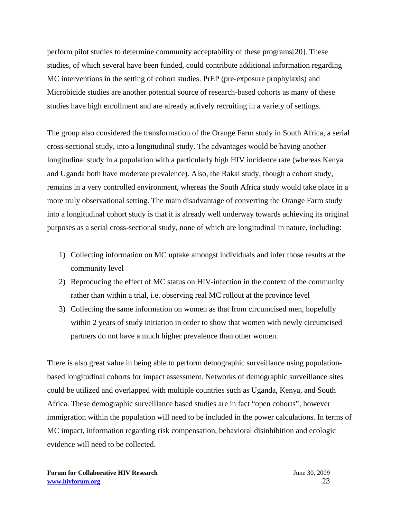perform pilot studies to determine community acceptability of these programs[20]. These studies, of which several have been funded, could contribute additional information regarding MC interventions in the setting of cohort studies. PrEP (pre-exposure prophylaxis) and Microbicide studies are another potential source of research-based cohorts as many of these studies have high enrollment and are already actively recruiting in a variety of settings.

The group also considered the transformation of the Orange Farm study in South Africa, a serial cross-sectional study, into a longitudinal study. The advantages would be having another longitudinal study in a population with a particularly high HIV incidence rate (whereas Kenya and Uganda both have moderate prevalence). Also, the Rakai study, though a cohort study, remains in a very controlled environment, whereas the South Africa study would take place in a more truly observational setting. The main disadvantage of converting the Orange Farm study into a longitudinal cohort study is that it is already well underway towards achieving its original purposes as a serial cross-sectional study, none of which are longitudinal in nature, including:

- 1) Collecting information on MC uptake amongst individuals and infer those results at the community level
- 2) Reproducing the effect of MC status on HIV-infection in the context of the community rather than within a trial, i.e. observing real MC rollout at the province level
- 3) Collecting the same information on women as that from circumcised men, hopefully within 2 years of study initiation in order to show that women with newly circumcised partners do not have a much higher prevalence than other women.

There is also great value in being able to perform demographic surveillance using populationbased longitudinal cohorts for impact assessment. Networks of demographic surveillance sites could be utilized and overlapped with multiple countries such as Uganda, Kenya, and South Africa. These demographic surveillance based studies are in fact "open cohorts"; however immigration within the population will need to be included in the power calculations. In terms of MC impact, information regarding risk compensation, behavioral disinhibition and ecologic evidence will need to be collected.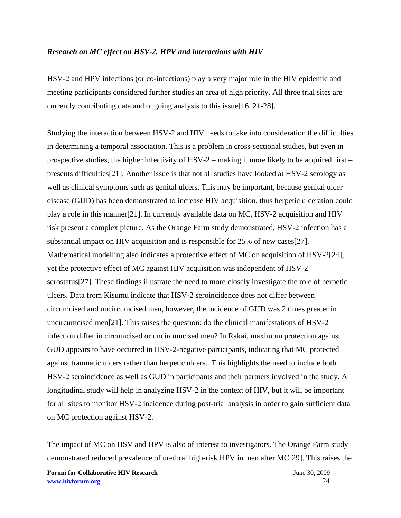### *Research on MC effect on HSV-2, HPV and interactions with HIV*

HSV-2 and HPV infections (or co-infections) play a very major role in the HIV epidemic and meeting participants considered further studies an area of high priority. All three trial sites are currently contributing data and ongoing analysis to this issue[16, 21-28].

Studying the interaction between HSV-2 and HIV needs to take into consideration the difficulties in determining a temporal association. This is a problem in cross-sectional studies, but even in prospective studies, the higher infectivity of  $HSV-2$  – making it more likely to be acquired first – presents difficulties[21]. Another issue is that not all studies have looked at HSV-2 serology as well as clinical symptoms such as genital ulcers. This may be important, because genital ulcer disease (GUD) has been demonstrated to increase HIV acquisition, thus herpetic ulceration could play a role in this manner[21]. In currently available data on MC, HSV-2 acquisition and HIV risk present a complex picture. As the Orange Farm study demonstrated, HSV-2 infection has a substantial impact on HIV acquisition and is responsible for 25% of new cases[27]. Mathematical modelling also indicates a protective effect of MC on acquisition of HSV-2[24], yet the protective effect of MC against HIV acquisition was independent of HSV-2 serostatus[27]. These findings illustrate the need to more closely investigate the role of herpetic ulcers. Data from Kisumu indicate that HSV-2 seroincidence does not differ between circumcised and uncircumcised men, however, the incidence of GUD was 2 times greater in uncircumcised men[21]. This raises the question: do the clinical manifestations of HSV-2 infection differ in circumcised or uncircumcised men? In Rakai, maximum protection against GUD appears to have occurred in HSV-2-negative participants, indicating that MC protected against traumatic ulcers rather than herpetic ulcers. This highlights the need to include both HSV-2 seroincidence as well as GUD in participants and their partners involved in the study. A longitudinal study will help in analyzing HSV-2 in the context of HIV, but it will be important for all sites to monitor HSV-2 incidence during post-trial analysis in order to gain sufficient data on MC protection against HSV-2.

The impact of MC on HSV and HPV is also of interest to investigators. The Orange Farm study demonstrated reduced prevalence of urethral high-risk HPV in men after MC[29]. This raises the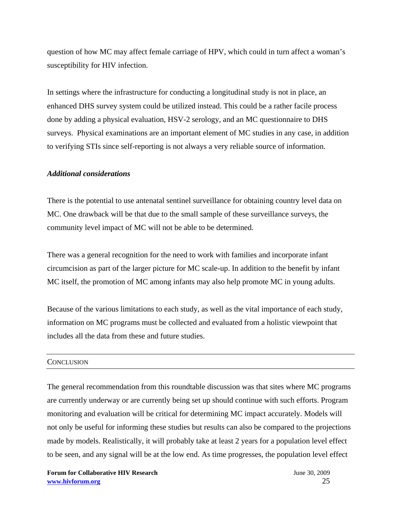question of how MC may affect female carriage of HPV, which could in turn affect a woman's susceptibility for HIV infection.

In settings where the infrastructure for conducting a longitudinal study is not in place, an enhanced DHS survey system could be utilized instead. This could be a rather facile process done by adding a physical evaluation, HSV-2 serology, and an MC questionnaire to DHS surveys. Physical examinations are an important element of MC studies in any case, in addition to verifying STIs since self-reporting is not always a very reliable source of information.

# *Additional considerations*

There is the potential to use antenatal sentinel surveillance for obtaining country level data on MC. One drawback will be that due to the small sample of these surveillance surveys, the community level impact of MC will not be able to be determined.

There was a general recognition for the need to work with families and incorporate infant circumcision as part of the larger picture for MC scale-up. In addition to the benefit by infant MC itself, the promotion of MC among infants may also help promote MC in young adults.

Because of the various limitations to each study, as well as the vital importance of each study, information on MC programs must be collected and evaluated from a holistic viewpoint that includes all the data from these and future studies.

#### **CONCLUSION**

The general recommendation from this roundtable discussion was that sites where MC programs are currently underway or are currently being set up should continue with such efforts. Program monitoring and evaluation will be critical for determining MC impact accurately. Models will not only be useful for informing these studies but results can also be compared to the projections made by models. Realistically, it will probably take at least 2 years for a population level effect to be seen, and any signal will be at the low end. As time progresses, the population level effect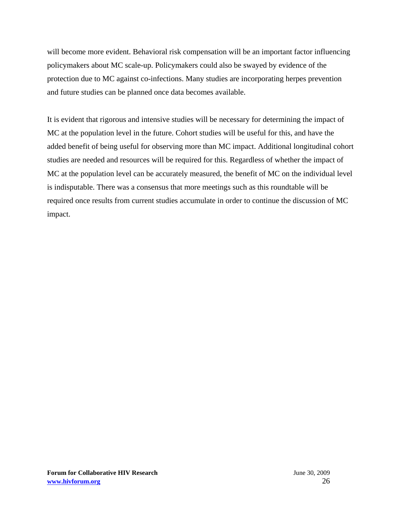will become more evident. Behavioral risk compensation will be an important factor influencing policymakers about MC scale-up. Policymakers could also be swayed by evidence of the protection due to MC against co-infections. Many studies are incorporating herpes prevention and future studies can be planned once data becomes available.

It is evident that rigorous and intensive studies will be necessary for determining the impact of MC at the population level in the future. Cohort studies will be useful for this, and have the added benefit of being useful for observing more than MC impact. Additional longitudinal cohort studies are needed and resources will be required for this. Regardless of whether the impact of MC at the population level can be accurately measured, the benefit of MC on the individual level is indisputable. There was a consensus that more meetings such as this roundtable will be required once results from current studies accumulate in order to continue the discussion of MC impact.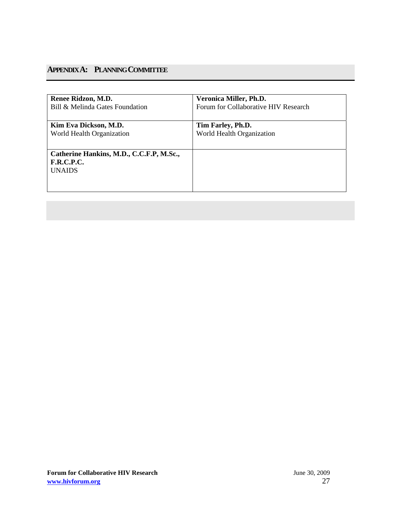# **APPENDIX A: PLANNING COMMITTEE**

| Renee Ridzon, M.D.<br>Bill & Melinda Gates Foundation | Veronica Miller, Ph.D.<br>Forum for Collaborative HIV Research |
|-------------------------------------------------------|----------------------------------------------------------------|
|                                                       |                                                                |
| Kim Eva Dickson, M.D.<br>World Health Organization    | Tim Farley, Ph.D.<br>World Health Organization                 |
|                                                       |                                                                |
| Catherine Hankins, M.D., C.C.F.P, M.Sc.,              |                                                                |
| <b>F.R.C.P.C.</b>                                     |                                                                |
| <b>UNAIDS</b>                                         |                                                                |
|                                                       |                                                                |
|                                                       |                                                                |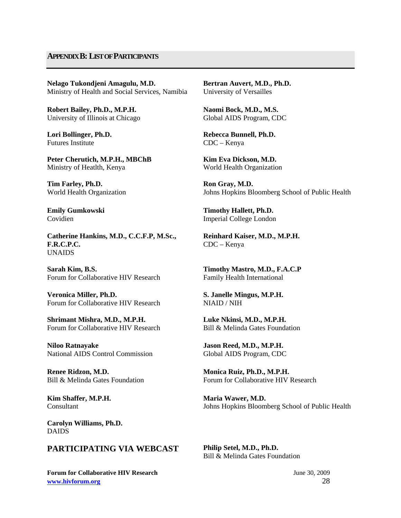# **APPENDIX B: LIST OF PARTICIPANTS**

**Nelago Tukondjeni Amagulu, M.D.**  Ministry of Health and Social Services, Namibia

**Robert Bailey, Ph.D., M.P.H.**  University of Illinois at Chicago

**Lori Bollinger, Ph.D.**  Futures Institute

**Peter Cherutich, M.P.H., MBChB**  Ministry of Heatlth, Kenya

**Tim Farley, Ph.D.**  World Health Organization

**Emily Gumkowski**  Covidien

**Catherine Hankins, M.D., C.C.F.P, M.Sc., F.R.C.P.C.**  UNAIDS

**Sarah Kim, B.S.**  Forum for Collaborative HIV Research

**Veronica Miller, Ph.D.** Forum for Collaborative HIV Research

**Shrimant Mishra, M.D., M.P.H.**  Forum for Collaborative HIV Research

**Niloo Ratnayake**  National AIDS Control Commission

**Renee Ridzon, M.D.**  Bill & Melinda Gates Foundation

**Kim Shaffer, M.P.H.**  Consultant

**Carolyn Williams, Ph.D.**  DAIDS

# **PARTICIPATING VIA WEBCAST Philip Setel, M.D., Ph.D.**

**Forum for Collaborative HIV Research** *June 30, 2009* **www.hivforum.org** 28

**Bertran Auvert, M.D., Ph.D.** University of Versailles

**Naomi Bock, M.D., M.S.**  Global AIDS Program, CDC

**Rebecca Bunnell, Ph.D.** CDC – Kenya

**Kim Eva Dickson, M.D.**  World Health Organization

**Ron Gray, M.D.**  Johns Hopkins Bloomberg School of Public Health

**Timothy Hallett, Ph.D.**  Imperial College London

**Reinhard Kaiser, M.D., M.P.H.**  CDC – Kenya

**Timothy Mastro, M.D., F.A.C.P**  Family Health International

**S. Janelle Mingus, M.P.H.**  NIAID / NIH

**Luke Nkinsi, M.D., M.P.H.**  Bill & Melinda Gates Foundation

**Jason Reed, M.D., M.P.H.**  Global AIDS Program, CDC

**Monica Ruiz, Ph.D., M.P.H.**  Forum for Collaborative HIV Research

**Maria Wawer, M.D.**  Johns Hopkins Bloomberg School of Public Health

Bill & Melinda Gates Foundation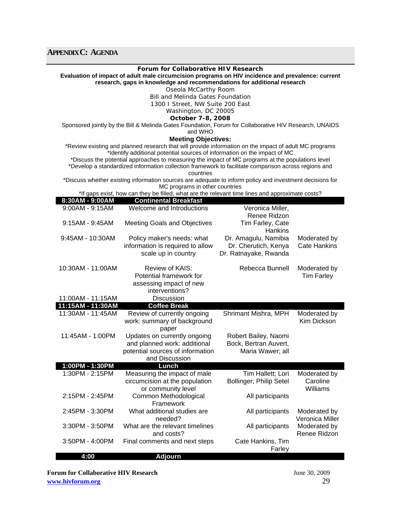| Forum for Collaborative HIV Research<br>Evaluation of impact of adult male circumcision programs on HIV incidence and prevalence: current<br>research, gaps in knowledge and recommendations for additional research |                                                                                                                                            |                                 |                     |  |
|----------------------------------------------------------------------------------------------------------------------------------------------------------------------------------------------------------------------|--------------------------------------------------------------------------------------------------------------------------------------------|---------------------------------|---------------------|--|
|                                                                                                                                                                                                                      | Oseola McCarthy Room                                                                                                                       |                                 |                     |  |
|                                                                                                                                                                                                                      | Bill and Melinda Gates Foundation                                                                                                          |                                 |                     |  |
|                                                                                                                                                                                                                      | 1300 I Street, NW Suite 200 East                                                                                                           |                                 |                     |  |
|                                                                                                                                                                                                                      |                                                                                                                                            |                                 |                     |  |
|                                                                                                                                                                                                                      | Washington, DC 20005                                                                                                                       |                                 |                     |  |
|                                                                                                                                                                                                                      | October 7-8, 2008                                                                                                                          |                                 |                     |  |
|                                                                                                                                                                                                                      | Sponsored jointly by the Bill & Melinda Gates Foundation, Forum for Collaborative HIV Research, UNAIDS<br>and WHO                          |                                 |                     |  |
|                                                                                                                                                                                                                      | <b>Meeting Objectives:</b>                                                                                                                 |                                 |                     |  |
| *Review existing and planned research that will provide information on the impact of adult MC programs                                                                                                               |                                                                                                                                            |                                 |                     |  |
|                                                                                                                                                                                                                      | *Identify additional potential sources of information on the impact of MC                                                                  |                                 |                     |  |
|                                                                                                                                                                                                                      | *Discuss the potential approaches to measuring the impact of MC programs at the populations level                                          |                                 |                     |  |
|                                                                                                                                                                                                                      | *Develop a standardized information collection framework to facilitate comparison across regions and                                       |                                 |                     |  |
|                                                                                                                                                                                                                      |                                                                                                                                            |                                 |                     |  |
|                                                                                                                                                                                                                      | countries                                                                                                                                  |                                 |                     |  |
|                                                                                                                                                                                                                      | *Discuss whether existing information sources are adequate to inform policy and investment decisions for<br>MC programs in other countries |                                 |                     |  |
|                                                                                                                                                                                                                      | *If gaps exist, how can they be filled, what are the relevant time lines and approximate costs?                                            |                                 |                     |  |
| 8:30AM - 9:00AM                                                                                                                                                                                                      | <b>Continental Breakfast</b>                                                                                                               |                                 |                     |  |
| 9:00AM - 9:15AM                                                                                                                                                                                                      | Welcome and Introductions                                                                                                                  | Veronica Miller,                |                     |  |
|                                                                                                                                                                                                                      |                                                                                                                                            |                                 |                     |  |
|                                                                                                                                                                                                                      |                                                                                                                                            | Renee Ridzon                    |                     |  |
| $9:15AM - 9:45AM$                                                                                                                                                                                                    | <b>Meeting Goals and Objectives</b>                                                                                                        | Tim Farley, Cate                |                     |  |
|                                                                                                                                                                                                                      |                                                                                                                                            | Hankins                         |                     |  |
| 9:45AM - 10:30AM                                                                                                                                                                                                     | Policy maker's needs: what                                                                                                                 | Dr. Amagulu, Namibia            | Moderated by        |  |
|                                                                                                                                                                                                                      | information is required to allow                                                                                                           | Dr. Cherutich, Kenya            | <b>Cate Hankins</b> |  |
|                                                                                                                                                                                                                      |                                                                                                                                            |                                 |                     |  |
|                                                                                                                                                                                                                      | scale up in country                                                                                                                        | Dr. Ratnayake, Rwanda           |                     |  |
|                                                                                                                                                                                                                      |                                                                                                                                            |                                 |                     |  |
| 10:30AM - 11:00AM                                                                                                                                                                                                    | Review of KAIS:                                                                                                                            | Rebecca Bunnell                 | Moderated by        |  |
|                                                                                                                                                                                                                      | Potential framework for                                                                                                                    |                                 | <b>Tim Farley</b>   |  |
|                                                                                                                                                                                                                      | assessing impact of new                                                                                                                    |                                 |                     |  |
|                                                                                                                                                                                                                      | interventions?                                                                                                                             |                                 |                     |  |
| 11:00AM - 11:15AM                                                                                                                                                                                                    | <b>Discussion</b>                                                                                                                          |                                 |                     |  |
| 11:15AM - 11:30AM                                                                                                                                                                                                    | <b>Coffee Break</b>                                                                                                                        |                                 |                     |  |
| 11:30AM - 11:45AM                                                                                                                                                                                                    |                                                                                                                                            |                                 |                     |  |
|                                                                                                                                                                                                                      | Review of currently ongoing                                                                                                                | Shrimant Mishra, MPH            | Moderated by        |  |
|                                                                                                                                                                                                                      | work: summary of background                                                                                                                |                                 | Kim Dickson         |  |
|                                                                                                                                                                                                                      | paper                                                                                                                                      |                                 |                     |  |
| 11:45AM - 1:00PM                                                                                                                                                                                                     | Updates on currently ongoing                                                                                                               | Robert Bailey, Naomi            |                     |  |
|                                                                                                                                                                                                                      | and planned work: additional                                                                                                               | Bock, Bertran Auvert,           |                     |  |
|                                                                                                                                                                                                                      | potential sources of information                                                                                                           | Maria Wawer: all                |                     |  |
|                                                                                                                                                                                                                      | and Discussion                                                                                                                             |                                 |                     |  |
|                                                                                                                                                                                                                      |                                                                                                                                            |                                 |                     |  |
| 1:00PM - 1:30PM                                                                                                                                                                                                      | Lunch                                                                                                                                      |                                 |                     |  |
| 1:30PM - 2:15PM                                                                                                                                                                                                      | Measuring the impact of male                                                                                                               | Tim Hallett; Lori               | Moderated by        |  |
|                                                                                                                                                                                                                      | circumcision at the population                                                                                                             | <b>Bollinger</b> ; Philip Setel | Caroline            |  |
|                                                                                                                                                                                                                      | or community level                                                                                                                         |                                 | Williams            |  |
| 2:15PM - 2:45PM                                                                                                                                                                                                      | Common Methodological                                                                                                                      | All participants                |                     |  |
|                                                                                                                                                                                                                      | Framework                                                                                                                                  |                                 |                     |  |
|                                                                                                                                                                                                                      |                                                                                                                                            |                                 |                     |  |
| 2:45PM - 3:30PM                                                                                                                                                                                                      | What additional studies are                                                                                                                | All participants                | Moderated by        |  |
|                                                                                                                                                                                                                      | needed?                                                                                                                                    |                                 | Veronica Miller     |  |
| 3:30PM - 3:50PM                                                                                                                                                                                                      | What are the relevant timelines                                                                                                            | All participants                | Moderated by        |  |
|                                                                                                                                                                                                                      | and costs?                                                                                                                                 |                                 | Renee Ridzon        |  |
| 3:50PM - 4:00PM                                                                                                                                                                                                      | Final comments and next steps                                                                                                              | Cate Hankins, Tim               |                     |  |
|                                                                                                                                                                                                                      |                                                                                                                                            |                                 |                     |  |
|                                                                                                                                                                                                                      |                                                                                                                                            | Farley                          |                     |  |
| 4:00                                                                                                                                                                                                                 | <b>Adjourn</b>                                                                                                                             |                                 |                     |  |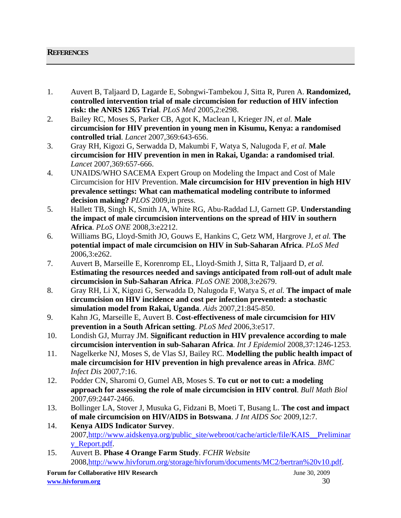# **REFERENCES**

- 1. Auvert B, Taljaard D, Lagarde E, Sobngwi-Tambekou J, Sitta R, Puren A. **Randomized, controlled intervention trial of male circumcision for reduction of HIV infection risk: the ANRS 1265 Trial**. *PLoS Med* 2005,2:e298.
- 2. Bailey RC, Moses S, Parker CB, Agot K, Maclean I, Krieger JN*, et al.* **Male circumcision for HIV prevention in young men in Kisumu, Kenya: a randomised controlled trial**. *Lancet* 2007,369:643-656.
- 3. Gray RH, Kigozi G, Serwadda D, Makumbi F, Watya S, Nalugoda F*, et al.* **Male circumcision for HIV prevention in men in Rakai, Uganda: a randomised trial**. *Lancet* 2007,369:657-666.
- 4. UNAIDS/WHO SACEMA Expert Group on Modeling the Impact and Cost of Male Circumcision for HIV Prevention. **Male circumcision for HIV prevention in high HIV prevalence settings: What can mathematical modeling contribute to informed decision making?** *PLOS* 2009,in press.
- 5. Hallett TB, Singh K, Smith JA, White RG, Abu-Raddad LJ, Garnett GP. **Understanding the impact of male circumcision interventions on the spread of HIV in southern Africa**. *PLoS ONE* 2008,3:e2212.
- 6. Williams BG, Lloyd-Smith JO, Gouws E, Hankins C, Getz WM, Hargrove J*, et al.* **The potential impact of male circumcision on HIV in Sub-Saharan Africa**. *PLoS Med*  2006,3:e262.
- 7. Auvert B, Marseille E, Korenromp EL, Lloyd-Smith J, Sitta R, Taljaard D*, et al.* **Estimating the resources needed and savings anticipated from roll-out of adult male circumcision in Sub-Saharan Africa**. *PLoS ONE* 2008,3:e2679.
- 8. Gray RH, Li X, Kigozi G, Serwadda D, Nalugoda F, Watya S*, et al.* **The impact of male circumcision on HIV incidence and cost per infection prevented: a stochastic simulation model from Rakai, Uganda**. *Aids* 2007,21:845-850.
- 9. Kahn JG, Marseille E, Auvert B. **Cost-effectiveness of male circumcision for HIV prevention in a South African setting**. *PLoS Med* 2006,3:e517.
- 10. Londish GJ, Murray JM. **Significant reduction in HIV prevalence according to male circumcision intervention in sub-Saharan Africa**. *Int J Epidemiol* 2008,37:1246-1253.
- 11. Nagelkerke NJ, Moses S, de Vlas SJ, Bailey RC. **Modelling the public health impact of male circumcision for HIV prevention in high prevalence areas in Africa**. *BMC Infect Dis* 2007,7:16.
- 12. Podder CN, Sharomi O, Gumel AB, Moses S. **To cut or not to cut: a modeling approach for assessing the role of male circumcision in HIV control**. *Bull Math Biol*  2007,69:2447-2466.
- 13. Bollinger LA, Stover J, Musuka G, Fidzani B, Moeti T, Busang L. **The cost and impact of male circumcision on HIV/AIDS in Botswana**. *J Int AIDS Soc* 2009,12:7.
- 14. **Kenya AIDS Indicator Survey**. 2007,http://www.aidskenya.org/public\_site/webroot/cache/article/file/KAIS\_\_Preliminar y\_Report.pdf.
- 15. Auvert B. **Phase 4 Orange Farm Study**. *FCHR Website*  2008,http://www.hivforum.org/storage/hivforum/documents/MC2/bertran%20v10.pdf.